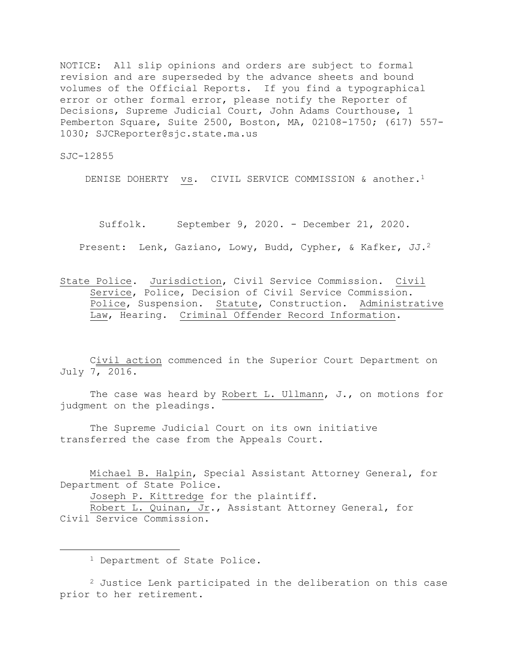NOTICE: All slip opinions and orders are subject to formal revision and are superseded by the advance sheets and bound volumes of the Official Reports. If you find a typographical error or other formal error, please notify the Reporter of Decisions, Supreme Judicial Court, John Adams Courthouse, 1 Pemberton Square, Suite 2500, Boston, MA, 02108-1750; (617) 557- 1030; SJCReporter@sjc.state.ma.us

SJC-12855

i<br>L

DENISE DOHERTY vs. CIVIL SERVICE COMMISSION & another.<sup>1</sup>

Suffolk. September 9, 2020. - December 21, 2020.

Present: Lenk, Gaziano, Lowy, Budd, Cypher, & Kafker, JJ.<sup>2</sup>

State Police. Jurisdiction, Civil Service Commission. Civil Service, Police, Decision of Civil Service Commission. Police, Suspension. Statute, Construction. Administrative Law, Hearing. Criminal Offender Record Information.

Civil action commenced in the Superior Court Department on July 7, 2016.

The case was heard by Robert L. Ullmann, J., on motions for judgment on the pleadings.

The Supreme Judicial Court on its own initiative transferred the case from the Appeals Court.

Michael B. Halpin, Special Assistant Attorney General, for Department of State Police.

Joseph P. Kittredge for the plaintiff.

Robert L. Quinan, Jr., Assistant Attorney General, for Civil Service Commission.

<sup>1</sup> Department of State Police.

 $2$  Justice Lenk participated in the deliberation on this case prior to her retirement.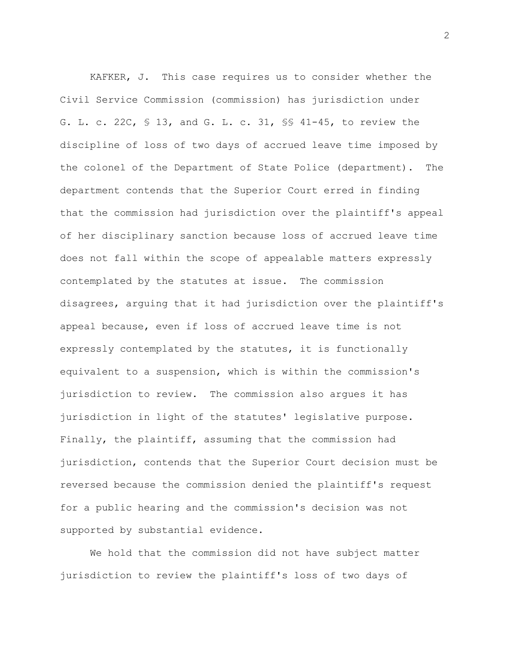KAFKER, J. This case requires us to consider whether the Civil Service Commission (commission) has jurisdiction under G. L. c. 22C, § 13, and G. L. c. 31, §§ 41-45, to review the discipline of loss of two days of accrued leave time imposed by the colonel of the Department of State Police (department). The department contends that the Superior Court erred in finding that the commission had jurisdiction over the plaintiff's appeal of her disciplinary sanction because loss of accrued leave time does not fall within the scope of appealable matters expressly contemplated by the statutes at issue. The commission disagrees, arguing that it had jurisdiction over the plaintiff's appeal because, even if loss of accrued leave time is not expressly contemplated by the statutes, it is functionally equivalent to a suspension, which is within the commission's jurisdiction to review. The commission also argues it has jurisdiction in light of the statutes' legislative purpose. Finally, the plaintiff, assuming that the commission had jurisdiction, contends that the Superior Court decision must be reversed because the commission denied the plaintiff's request for a public hearing and the commission's decision was not supported by substantial evidence.

We hold that the commission did not have subject matter jurisdiction to review the plaintiff's loss of two days of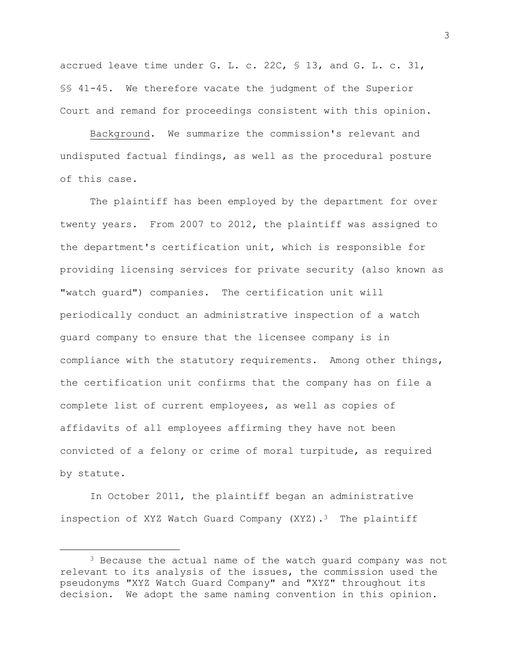accrued leave time under G. L. c. 22C, § 13, and G. L. c. 31, §§ 41-45. We therefore vacate the judgment of the Superior Court and remand for proceedings consistent with this opinion.

Background. We summarize the commission's relevant and undisputed factual findings, as well as the procedural posture of this case.

The plaintiff has been employed by the department for over twenty years. From 2007 to 2012, the plaintiff was assigned to the department's certification unit, which is responsible for providing licensing services for private security (also known as "watch guard") companies. The certification unit will periodically conduct an administrative inspection of a watch guard company to ensure that the licensee company is in compliance with the statutory requirements. Among other things, the certification unit confirms that the company has on file a complete list of current employees, as well as copies of affidavits of all employees affirming they have not been convicted of a felony or crime of moral turpitude, as required by statute.

In October 2011, the plaintiff began an administrative inspection of XYZ Watch Guard Company (XYZ).<sup>3</sup> The plaintiff

<sup>&</sup>lt;sup>3</sup> Because the actual name of the watch quard company was not relevant to its analysis of the issues, the commission used the pseudonyms "XYZ Watch Guard Company" and "XYZ" throughout its decision. We adopt the same naming convention in this opinion.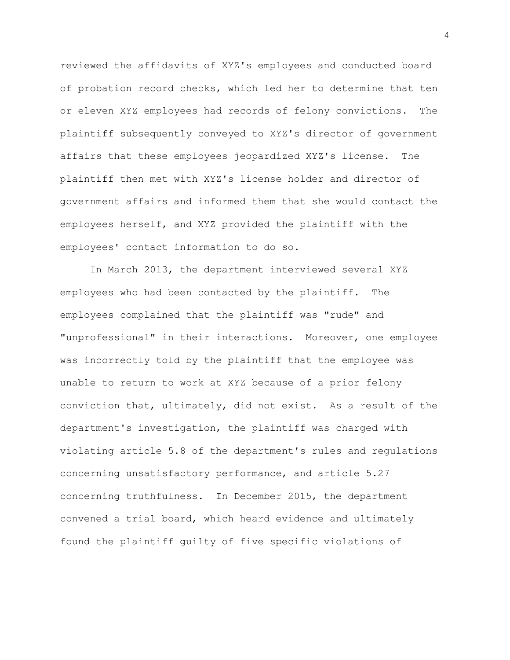reviewed the affidavits of XYZ's employees and conducted board of probation record checks, which led her to determine that ten or eleven XYZ employees had records of felony convictions. The plaintiff subsequently conveyed to XYZ's director of government affairs that these employees jeopardized XYZ's license. The plaintiff then met with XYZ's license holder and director of government affairs and informed them that she would contact the employees herself, and XYZ provided the plaintiff with the employees' contact information to do so.

In March 2013, the department interviewed several XYZ employees who had been contacted by the plaintiff. The employees complained that the plaintiff was "rude" and "unprofessional" in their interactions. Moreover, one employee was incorrectly told by the plaintiff that the employee was unable to return to work at XYZ because of a prior felony conviction that, ultimately, did not exist. As a result of the department's investigation, the plaintiff was charged with violating article 5.8 of the department's rules and regulations concerning unsatisfactory performance, and article 5.27 concerning truthfulness. In December 2015, the department convened a trial board, which heard evidence and ultimately found the plaintiff guilty of five specific violations of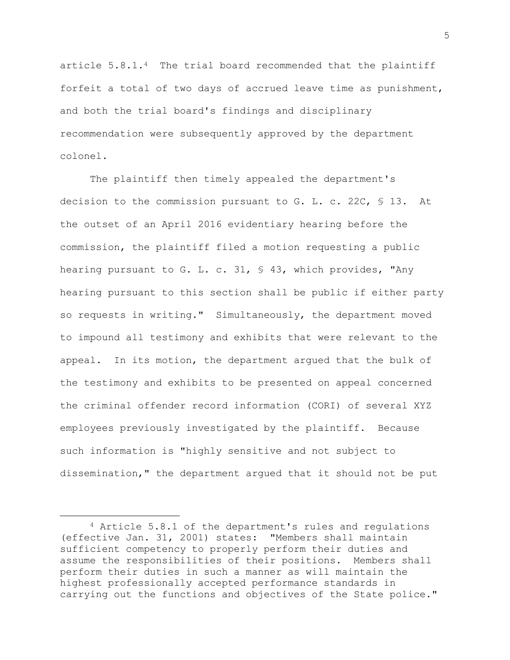article 5.8.1.4 The trial board recommended that the plaintiff forfeit a total of two days of accrued leave time as punishment, and both the trial board's findings and disciplinary recommendation were subsequently approved by the department colonel.

The plaintiff then timely appealed the department's decision to the commission pursuant to G. L. c. 22C, § 13. At the outset of an April 2016 evidentiary hearing before the commission, the plaintiff filed a motion requesting a public hearing pursuant to G. L. c. 31, § 43, which provides, "Any hearing pursuant to this section shall be public if either party so requests in writing." Simultaneously, the department moved to impound all testimony and exhibits that were relevant to the appeal. In its motion, the department argued that the bulk of the testimony and exhibits to be presented on appeal concerned the criminal offender record information (CORI) of several XYZ employees previously investigated by the plaintiff. Because such information is "highly sensitive and not subject to dissemination," the department argued that it should not be put

<sup>4</sup> Article 5.8.1 of the department's rules and regulations (effective Jan. 31, 2001) states: "Members shall maintain sufficient competency to properly perform their duties and assume the responsibilities of their positions. Members shall perform their duties in such a manner as will maintain the highest professionally accepted performance standards in carrying out the functions and objectives of the State police."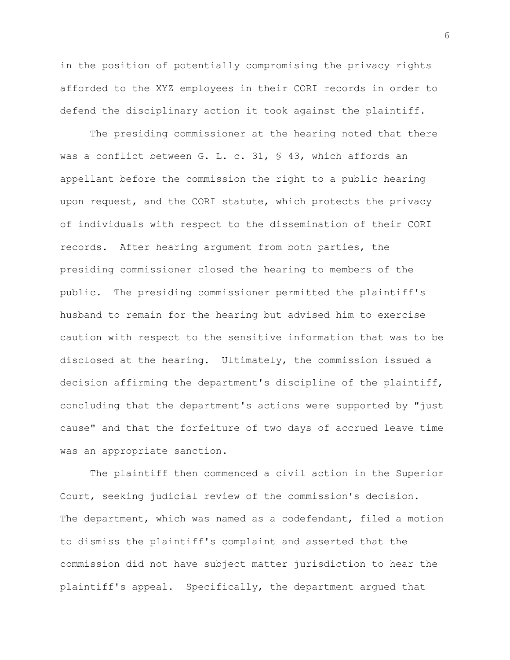in the position of potentially compromising the privacy rights afforded to the XYZ employees in their CORI records in order to defend the disciplinary action it took against the plaintiff.

The presiding commissioner at the hearing noted that there was a conflict between G. L. c. 31, § 43, which affords an appellant before the commission the right to a public hearing upon request, and the CORI statute, which protects the privacy of individuals with respect to the dissemination of their CORI records. After hearing argument from both parties, the presiding commissioner closed the hearing to members of the public. The presiding commissioner permitted the plaintiff's husband to remain for the hearing but advised him to exercise caution with respect to the sensitive information that was to be disclosed at the hearing. Ultimately, the commission issued a decision affirming the department's discipline of the plaintiff, concluding that the department's actions were supported by "just cause" and that the forfeiture of two days of accrued leave time was an appropriate sanction.

The plaintiff then commenced a civil action in the Superior Court, seeking judicial review of the commission's decision. The department, which was named as a codefendant, filed a motion to dismiss the plaintiff's complaint and asserted that the commission did not have subject matter jurisdiction to hear the plaintiff's appeal. Specifically, the department argued that

6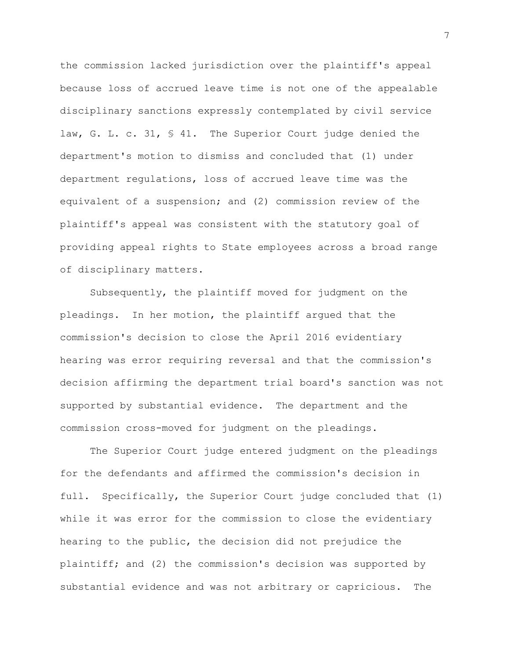the commission lacked jurisdiction over the plaintiff's appeal because loss of accrued leave time is not one of the appealable disciplinary sanctions expressly contemplated by civil service law, G. L. c. 31, § 41. The Superior Court judge denied the department's motion to dismiss and concluded that (1) under department regulations, loss of accrued leave time was the equivalent of a suspension; and (2) commission review of the plaintiff's appeal was consistent with the statutory goal of providing appeal rights to State employees across a broad range of disciplinary matters.

Subsequently, the plaintiff moved for judgment on the pleadings. In her motion, the plaintiff argued that the commission's decision to close the April 2016 evidentiary hearing was error requiring reversal and that the commission's decision affirming the department trial board's sanction was not supported by substantial evidence. The department and the commission cross-moved for judgment on the pleadings.

The Superior Court judge entered judgment on the pleadings for the defendants and affirmed the commission's decision in full. Specifically, the Superior Court judge concluded that (1) while it was error for the commission to close the evidentiary hearing to the public, the decision did not prejudice the plaintiff; and (2) the commission's decision was supported by substantial evidence and was not arbitrary or capricious. The

7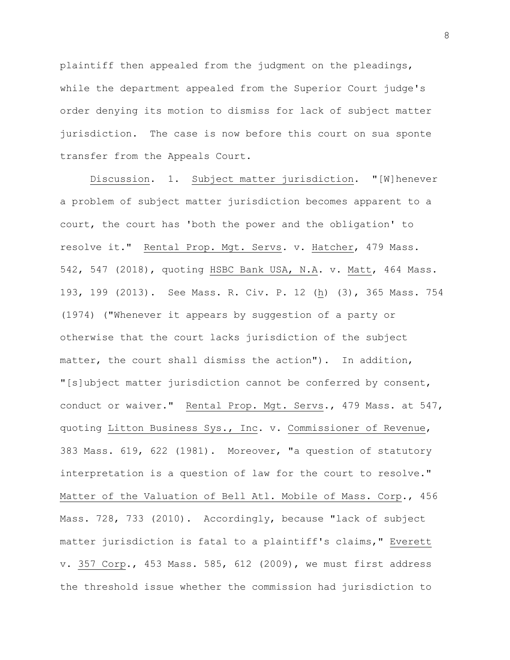plaintiff then appealed from the judgment on the pleadings, while the department appealed from the Superior Court judge's order denying its motion to dismiss for lack of subject matter jurisdiction. The case is now before this court on sua sponte transfer from the Appeals Court.

Discussion. 1. Subject matter jurisdiction. "[W]henever a problem of subject matter jurisdiction becomes apparent to a court, the court has 'both the power and the obligation' to resolve it." Rental Prop. Mgt. Servs. v. Hatcher, 479 Mass. 542, 547 (2018), quoting HSBC Bank USA, N.A. v. Matt, 464 Mass. 193, 199 (2013). See Mass. R. Civ. P. 12 (h) (3), 365 Mass. 754 (1974) ("Whenever it appears by suggestion of a party or otherwise that the court lacks jurisdiction of the subject matter, the court shall dismiss the action"). In addition, "[s]ubject matter jurisdiction cannot be conferred by consent, conduct or waiver." Rental Prop. Mgt. Servs., 479 Mass. at 547, quoting Litton Business Sys., Inc. v. Commissioner of Revenue, 383 Mass. 619, 622 (1981). Moreover, "a question of statutory interpretation is a question of law for the court to resolve." Matter of the Valuation of Bell Atl. Mobile of Mass. Corp., 456 Mass. 728, 733 (2010). Accordingly, because "lack of subject matter jurisdiction is fatal to a plaintiff's claims," Everett v. 357 Corp., 453 Mass. 585, 612 (2009), we must first address the threshold issue whether the commission had jurisdiction to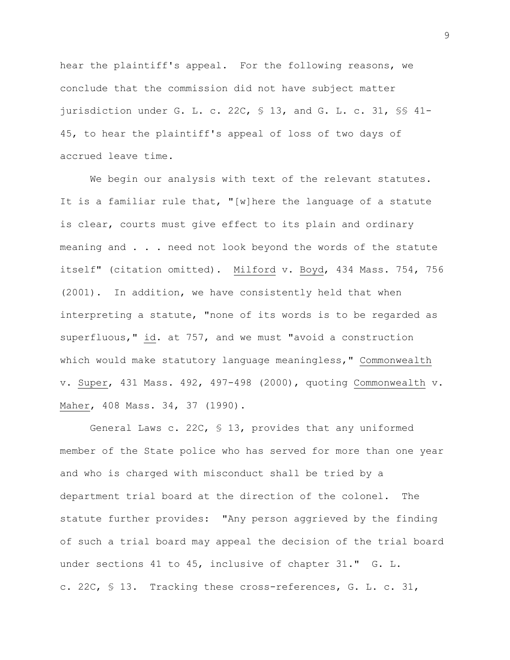hear the plaintiff's appeal. For the following reasons, we conclude that the commission did not have subject matter jurisdiction under G. L. c. 22C, § 13, and G. L. c. 31, §§ 41- 45, to hear the plaintiff's appeal of loss of two days of accrued leave time.

We begin our analysis with text of the relevant statutes. It is a familiar rule that, "[w]here the language of a statute is clear, courts must give effect to its plain and ordinary meaning and . . . need not look beyond the words of the statute itself" (citation omitted). Milford v. Boyd, 434 Mass. 754, 756 (2001). In addition, we have consistently held that when interpreting a statute, "none of its words is to be regarded as superfluous," id. at 757, and we must "avoid a construction which would make statutory language meaningless," Commonwealth v. Super, 431 Mass. 492, 497-498 (2000), quoting Commonwealth v. Maher, 408 Mass. 34, 37 (1990).

General Laws c. 22C, § 13, provides that any uniformed member of the State police who has served for more than one year and who is charged with misconduct shall be tried by a department trial board at the direction of the colonel. The statute further provides: "Any person aggrieved by the finding of such a trial board may appeal the decision of the trial board under sections 41 to 45, inclusive of chapter 31." G. L. c. 22C, § 13. Tracking these cross-references, G. L. c. 31,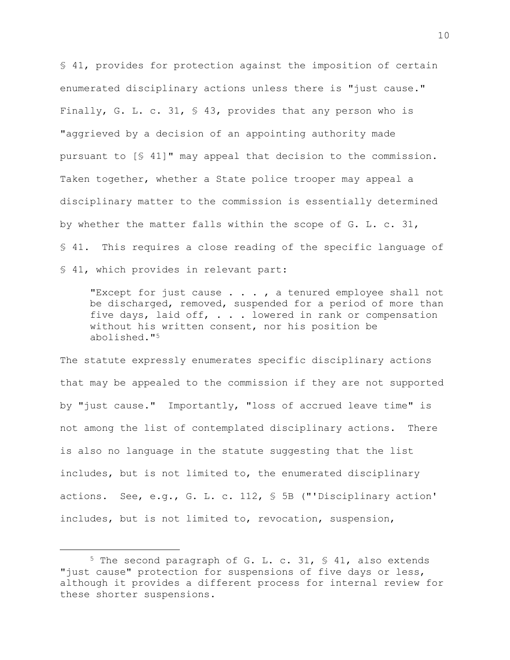§ 41, provides for protection against the imposition of certain enumerated disciplinary actions unless there is "just cause." Finally, G. L. c. 31, § 43, provides that any person who is "aggrieved by a decision of an appointing authority made pursuant to [§ 41]" may appeal that decision to the commission. Taken together, whether a State police trooper may appeal a disciplinary matter to the commission is essentially determined by whether the matter falls within the scope of G. L. c. 31, § 41. This requires a close reading of the specific language of § 41, which provides in relevant part:

"Except for just cause . . . , a tenured employee shall not be discharged, removed, suspended for a period of more than five days, laid off, . . . lowered in rank or compensation without his written consent, nor his position be abolished."<sup>5</sup>

The statute expressly enumerates specific disciplinary actions that may be appealed to the commission if they are not supported by "just cause." Importantly, "loss of accrued leave time" is not among the list of contemplated disciplinary actions. There is also no language in the statute suggesting that the list includes, but is not limited to, the enumerated disciplinary actions. See, e.g., G. L. c. 112, § 5B ("'Disciplinary action' includes, but is not limited to, revocation, suspension,

<sup>5</sup> The second paragraph of G. L. c. 31, § 41, also extends "just cause" protection for suspensions of five days or less, although it provides a different process for internal review for these shorter suspensions.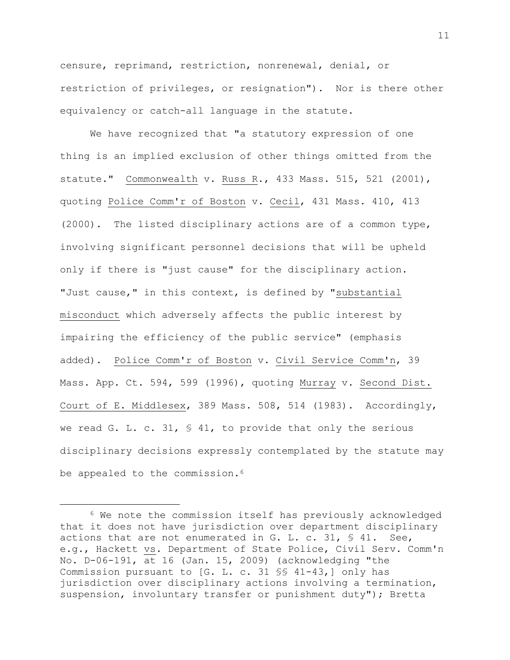censure, reprimand, restriction, nonrenewal, denial, or restriction of privileges, or resignation"). Nor is there other equivalency or catch-all language in the statute.

We have recognized that "a statutory expression of one thing is an implied exclusion of other things omitted from the statute." Commonwealth v. Russ R., 433 Mass. 515, 521 (2001), quoting Police Comm'r of Boston v. Cecil, 431 Mass. 410, 413 (2000). The listed disciplinary actions are of a common type, involving significant personnel decisions that will be upheld only if there is "just cause" for the disciplinary action. "Just cause," in this context, is defined by "substantial misconduct which adversely affects the public interest by impairing the efficiency of the public service" (emphasis added). Police Comm'r of Boston v. Civil Service Comm'n, 39 Mass. App. Ct. 594, 599 (1996), quoting Murray v. Second Dist. Court of E. Middlesex, 389 Mass. 508, 514 (1983). Accordingly, we read G. L. c. 31,  $\frac{1}{5}$  41, to provide that only the serious disciplinary decisions expressly contemplated by the statute may be appealed to the commission.<sup>6</sup>

<sup>6</sup> We note the commission itself has previously acknowledged that it does not have jurisdiction over department disciplinary actions that are not enumerated in G. L. c. 31,  $\frac{6}{5}$  41. See, e.g., Hackett vs. Department of State Police, Civil Serv. Comm'n No. D-06-191, at 16 (Jan. 15, 2009) (acknowledging "the Commission pursuant to [G. L. c. 31 §§ 41-43,] only has jurisdiction over disciplinary actions involving a termination, suspension, involuntary transfer or punishment duty"); Bretta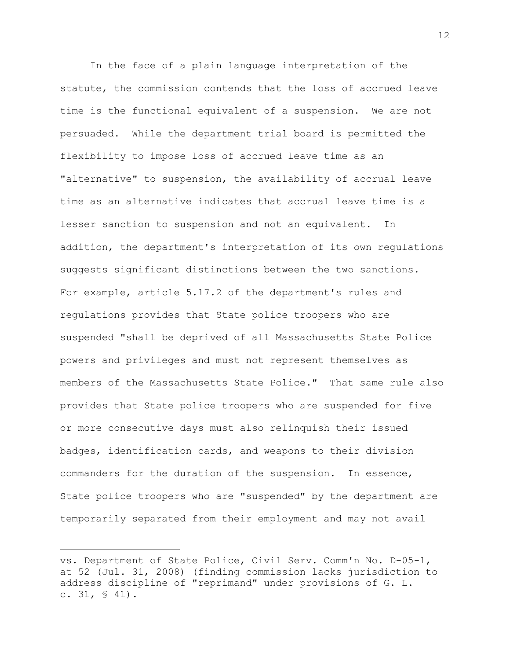In the face of a plain language interpretation of the statute, the commission contends that the loss of accrued leave time is the functional equivalent of a suspension. We are not persuaded. While the department trial board is permitted the flexibility to impose loss of accrued leave time as an "alternative" to suspension, the availability of accrual leave time as an alternative indicates that accrual leave time is a lesser sanction to suspension and not an equivalent. In addition, the department's interpretation of its own regulations suggests significant distinctions between the two sanctions. For example, article 5.17.2 of the department's rules and regulations provides that State police troopers who are suspended "shall be deprived of all Massachusetts State Police powers and privileges and must not represent themselves as members of the Massachusetts State Police." That same rule also provides that State police troopers who are suspended for five or more consecutive days must also relinquish their issued badges, identification cards, and weapons to their division commanders for the duration of the suspension. In essence, State police troopers who are "suspended" by the department are temporarily separated from their employment and may not avail

vs. Department of State Police, Civil Serv. Comm'n No. D-05-1, at 52 (Jul. 31, 2008) (finding commission lacks jurisdiction to address discipline of "reprimand" under provisions of G. L. c.  $31, S 41$ .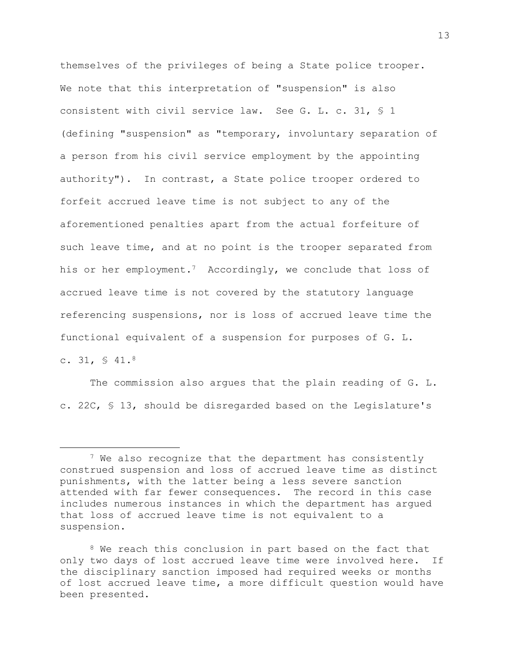themselves of the privileges of being a State police trooper. We note that this interpretation of "suspension" is also consistent with civil service law. See G. L. c. 31, § 1 (defining "suspension" as "temporary, involuntary separation of a person from his civil service employment by the appointing authority"). In contrast, a State police trooper ordered to forfeit accrued leave time is not subject to any of the aforementioned penalties apart from the actual forfeiture of such leave time, and at no point is the trooper separated from his or her employment.<sup>7</sup> Accordingly, we conclude that loss of accrued leave time is not covered by the statutory language referencing suspensions, nor is loss of accrued leave time the functional equivalent of a suspension for purposes of G. L. c.  $31, S$  41.8

The commission also argues that the plain reading of G. L. c. 22C, § 13, should be disregarded based on the Legislature's

<sup>&</sup>lt;sup>7</sup> We also recognize that the department has consistently construed suspension and loss of accrued leave time as distinct punishments, with the latter being a less severe sanction attended with far fewer consequences. The record in this case includes numerous instances in which the department has argued that loss of accrued leave time is not equivalent to a suspension.

<sup>&</sup>lt;sup>8</sup> We reach this conclusion in part based on the fact that only two days of lost accrued leave time were involved here. If the disciplinary sanction imposed had required weeks or months of lost accrued leave time, a more difficult question would have been presented.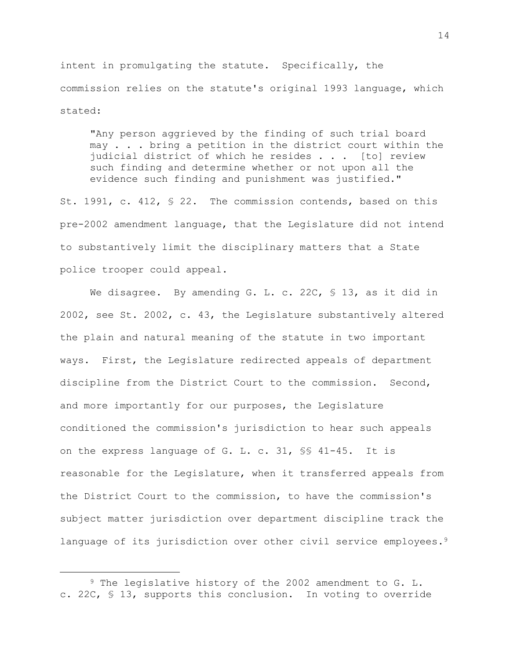intent in promulgating the statute. Specifically, the commission relies on the statute's original 1993 language, which stated:

"Any person aggrieved by the finding of such trial board may . . . bring a petition in the district court within the judicial district of which he resides . . . [to] review such finding and determine whether or not upon all the evidence such finding and punishment was justified."

St. 1991, c. 412, § 22. The commission contends, based on this pre-2002 amendment language, that the Legislature did not intend to substantively limit the disciplinary matters that a State police trooper could appeal.

We disagree. By amending G. L. c. 22C, § 13, as it did in 2002, see St. 2002, c. 43, the Legislature substantively altered the plain and natural meaning of the statute in two important ways. First, the Legislature redirected appeals of department discipline from the District Court to the commission. Second, and more importantly for our purposes, the Legislature conditioned the commission's jurisdiction to hear such appeals on the express language of G. L. c. 31, §§ 41-45. It is reasonable for the Legislature, when it transferred appeals from the District Court to the commission, to have the commission's subject matter jurisdiction over department discipline track the language of its jurisdiction over other civil service employees.<sup>9</sup>

<sup>9</sup> The legislative history of the 2002 amendment to G. L. c. 22C, § 13, supports this conclusion. In voting to override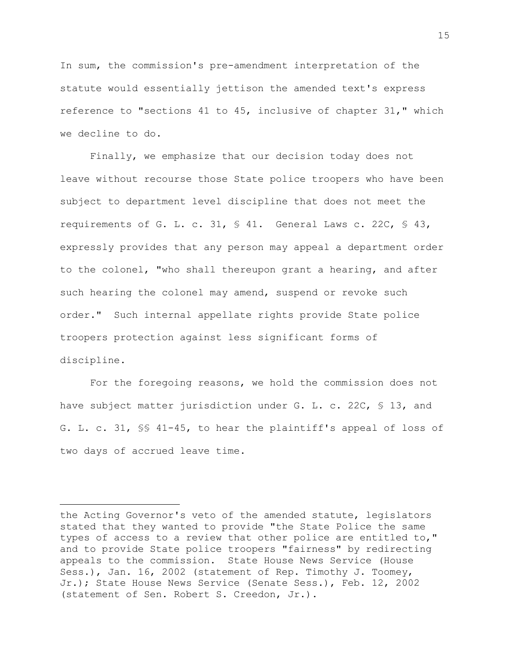In sum, the commission's pre-amendment interpretation of the statute would essentially jettison the amended text's express reference to "sections 41 to 45, inclusive of chapter 31," which we decline to do.

Finally, we emphasize that our decision today does not leave without recourse those State police troopers who have been subject to department level discipline that does not meet the requirements of G. L. c. 31, § 41. General Laws c. 22C, § 43, expressly provides that any person may appeal a department order to the colonel, "who shall thereupon grant a hearing, and after such hearing the colonel may amend, suspend or revoke such order." Such internal appellate rights provide State police troopers protection against less significant forms of discipline.

For the foregoing reasons, we hold the commission does not have subject matter jurisdiction under G. L. c. 22C, § 13, and G. L. c. 31, §§ 41-45, to hear the plaintiff's appeal of loss of two days of accrued leave time.

the Acting Governor's veto of the amended statute, legislators stated that they wanted to provide "the State Police the same types of access to a review that other police are entitled to," and to provide State police troopers "fairness" by redirecting appeals to the commission. State House News Service (House Sess.), Jan. 16, 2002 (statement of Rep. Timothy J. Toomey, Jr.); State House News Service (Senate Sess.), Feb. 12, 2002 (statement of Sen. Robert S. Creedon, Jr.).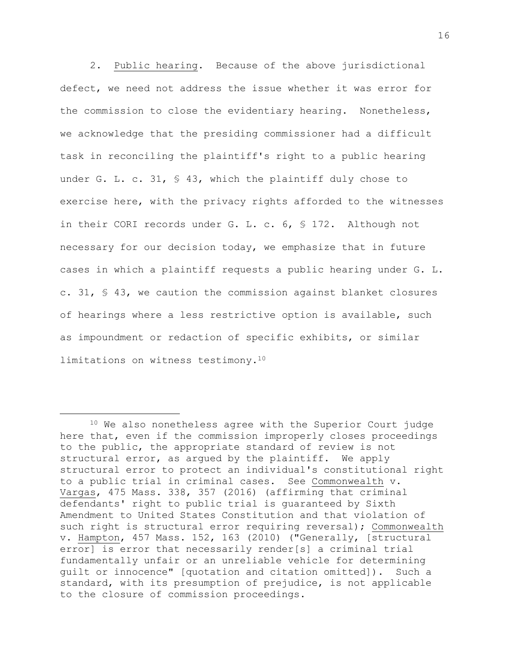2. Public hearing. Because of the above jurisdictional defect, we need not address the issue whether it was error for the commission to close the evidentiary hearing. Nonetheless, we acknowledge that the presiding commissioner had a difficult task in reconciling the plaintiff's right to a public hearing under G. L. c. 31, § 43, which the plaintiff duly chose to exercise here, with the privacy rights afforded to the witnesses in their CORI records under G. L. c. 6, § 172. Although not necessary for our decision today, we emphasize that in future cases in which a plaintiff requests a public hearing under G. L. c. 31, § 43, we caution the commission against blanket closures of hearings where a less restrictive option is available, such as impoundment or redaction of specific exhibits, or similar limitations on witness testimony.<sup>10</sup>

<sup>10</sup> We also nonetheless agree with the Superior Court judge here that, even if the commission improperly closes proceedings to the public, the appropriate standard of review is not structural error, as argued by the plaintiff. We apply structural error to protect an individual's constitutional right to a public trial in criminal cases. See Commonwealth v. Vargas, 475 Mass. 338, 357 (2016) (affirming that criminal defendants' right to public trial is guaranteed by Sixth Amendment to United States Constitution and that violation of such right is structural error requiring reversal); Commonwealth v. Hampton, 457 Mass. 152, 163 (2010) ("Generally, [structural error] is error that necessarily render[s] a criminal trial fundamentally unfair or an unreliable vehicle for determining guilt or innocence" [quotation and citation omitted]). Such a standard, with its presumption of prejudice, is not applicable to the closure of commission proceedings.